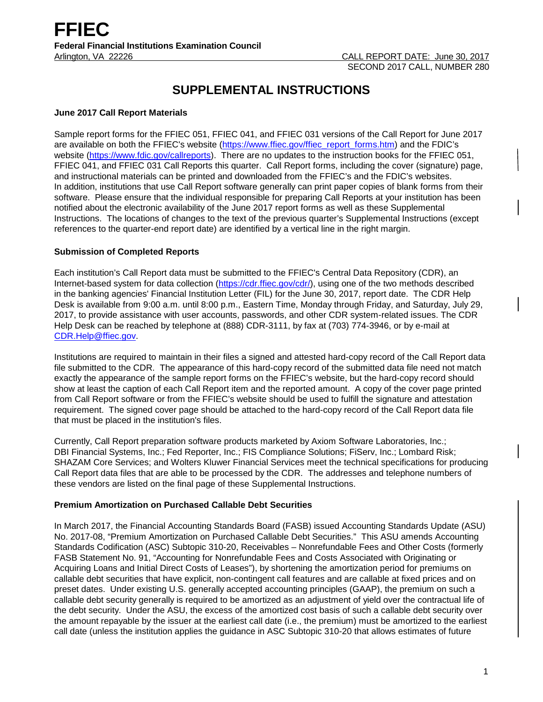# **SUPPLEMENTAL INSTRUCTIONS**

## **June 2017 Call Report Materials**

Sample report forms for the FFIEC 051, FFIEC 041, and FFIEC 031 versions of the Call Report for June 2017 are available on both the FFIEC's website [\(https://www.ffiec.gov/ffiec\\_report\\_forms.htm\)](https://www.ffiec.gov/ffiec_report_forms.htm) and the FDIC's website [\(https://www.fdic.gov/callreports\)](https://www.fdic.gov/callreports). There are no updates to the instruction books for the FFIEC 051, FFIEC 041, and FFIEC 031 Call Reports this quarter. Call Report forms, including the cover (signature) page, and instructional materials can be printed and downloaded from the FFIEC's and the FDIC's websites. In addition, institutions that use Call Report software generally can print paper copies of blank forms from their software. Please ensure that the individual responsible for preparing Call Reports at your institution has been notified about the electronic availability of the June 2017 report forms as well as these Supplemental Instructions. The locations of changes to the text of the previous quarter's Supplemental Instructions (except references to the quarter-end report date) are identified by a vertical line in the right margin.

# **Submission of Completed Reports**

Each institution's Call Report data must be submitted to the FFIEC's Central Data Repository (CDR), an Internet-based system for data collection [\(https://cdr.ffiec.gov/cdr/\)](https://cdr.ffiec.gov/cdr/), using one of the two methods described in the banking agencies' Financial Institution Letter (FIL) for the June 30, 2017, report date. The CDR Help Desk is available from 9:00 a.m. until 8:00 p.m., Eastern Time, Monday through Friday, and Saturday, July 29, 2017, to provide assistance with user accounts, passwords, and other CDR system-related issues. The CDR Help Desk can be reached by telephone at (888) CDR-3111, by fax at (703) 774-3946, or by e-mail at [CDR.Help@ffiec.gov.](mailto:CDR.Help@ffiec.gov) 

Institutions are required to maintain in their files a signed and attested hard-copy record of the Call Report data file submitted to the CDR. The appearance of this hard-copy record of the submitted data file need not match exactly the appearance of the sample report forms on the FFIEC's website, but the hard-copy record should show at least the caption of each Call Report item and the reported amount. A copy of the cover page printed from Call Report software or from the FFIEC's website should be used to fulfill the signature and attestation requirement. The signed cover page should be attached to the hard-copy record of the Call Report data file that must be placed in the institution's files.

Currently, Call Report preparation software products marketed by Axiom Software Laboratories, Inc.; DBI Financial Systems, Inc.; Fed Reporter, Inc.; FIS Compliance Solutions; FiServ, Inc.; Lombard Risk; SHAZAM Core Services; and Wolters Kluwer Financial Services meet the technical specifications for producing Call Report data files that are able to be processed by the CDR. The addresses and telephone numbers of these vendors are listed on the final page of these Supplemental Instructions.

# **Premium Amortization on Purchased Callable Debt Securities**

In March 2017, the Financial Accounting Standards Board (FASB) issued Accounting Standards Update (ASU) No. 2017-08, "Premium Amortization on Purchased Callable Debt Securities." This ASU amends Accounting Standards Codification (ASC) Subtopic 310-20, Receivables – Nonrefundable Fees and Other Costs (formerly FASB Statement No. 91, "Accounting for Nonrefundable Fees and Costs Associated with Originating or Acquiring Loans and Initial Direct Costs of Leases"), by shortening the amortization period for premiums on callable debt securities that have explicit, non-contingent call features and are callable at fixed prices and on preset dates. Under existing U.S. generally accepted accounting principles (GAAP), the premium on such a callable debt security generally is required to be amortized as an adjustment of yield over the contractual life of the debt security. Under the ASU, the excess of the amortized cost basis of such a callable debt security over the amount repayable by the issuer at the earliest call date (i.e., the premium) must be amortized to the earliest call date (unless the institution applies the guidance in ASC Subtopic 310-20 that allows estimates of future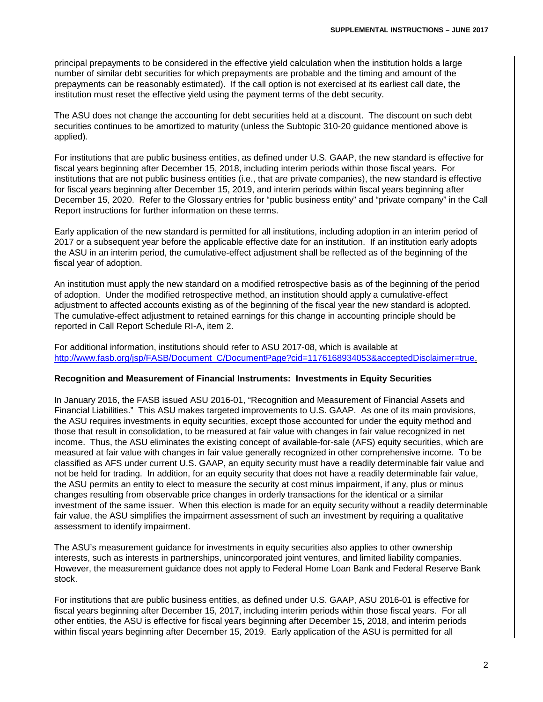principal prepayments to be considered in the effective yield calculation when the institution holds a large number of similar debt securities for which prepayments are probable and the timing and amount of the prepayments can be reasonably estimated). If the call option is not exercised at its earliest call date, the institution must reset the effective yield using the payment terms of the debt security.

The ASU does not change the accounting for debt securities held at a discount. The discount on such debt securities continues to be amortized to maturity (unless the Subtopic 310-20 guidance mentioned above is applied).

For institutions that are public business entities, as defined under U.S. GAAP, the new standard is effective for fiscal years beginning after December 15, 2018, including interim periods within those fiscal years. For institutions that are not public business entities (i.e., that are private companies), the new standard is effective for fiscal years beginning after December 15, 2019, and interim periods within fiscal years beginning after December 15, 2020. Refer to the Glossary entries for "public business entity" and "private company" in the Call Report instructions for further information on these terms.

Early application of the new standard is permitted for all institutions, including adoption in an interim period of 2017 or a subsequent year before the applicable effective date for an institution. If an institution early adopts the ASU in an interim period, the cumulative-effect adjustment shall be reflected as of the beginning of the fiscal year of adoption.

An institution must apply the new standard on a modified retrospective basis as of the beginning of the period of adoption. Under the modified retrospective method, an institution should apply a cumulative-effect adjustment to affected accounts existing as of the beginning of the fiscal year the new standard is adopted. The cumulative-effect adjustment to retained earnings for this change in accounting principle should be reported in Call Report Schedule RI-A, item 2.

For additional information, institutions should refer to ASU 2017-08, which is available at [http://www.fasb.org/jsp/FASB/Document\\_C/DocumentPage?cid=1176168934053&acceptedDisclaimer=true.](http://www.fasb.org/jsp/FASB/Document_C/DocumentPage?cid=1176168934053&acceptedDisclaimer=true)

# **Recognition and Measurement of Financial Instruments: Investments in Equity Securities**

In January 2016, the FASB issued ASU 2016-01, "Recognition and Measurement of Financial Assets and Financial Liabilities." This ASU makes targeted improvements to U.S. GAAP. As one of its main provisions, the ASU requires investments in equity securities, except those accounted for under the equity method and those that result in consolidation, to be measured at fair value with changes in fair value recognized in net income. Thus, the ASU eliminates the existing concept of available-for-sale (AFS) equity securities, which are measured at fair value with changes in fair value generally recognized in other comprehensive income. To be classified as AFS under current U.S. GAAP, an equity security must have a readily determinable fair value and not be held for trading. In addition, for an equity security that does not have a readily determinable fair value, the ASU permits an entity to elect to measure the security at cost minus impairment, if any, plus or minus changes resulting from observable price changes in orderly transactions for the identical or a similar investment of the same issuer. When this election is made for an equity security without a readily determinable fair value, the ASU simplifies the impairment assessment of such an investment by requiring a qualitative assessment to identify impairment.

The ASU's measurement guidance for investments in equity securities also applies to other ownership interests, such as interests in partnerships, unincorporated joint ventures, and limited liability companies. However, the measurement guidance does not apply to Federal Home Loan Bank and Federal Reserve Bank stock.

For institutions that are public business entities, as defined under U.S. GAAP, ASU 2016-01 is effective for fiscal years beginning after December 15, 2017, including interim periods within those fiscal years. For all other entities, the ASU is effective for fiscal years beginning after December 15, 2018, and interim periods within fiscal years beginning after December 15, 2019. Early application of the ASU is permitted for all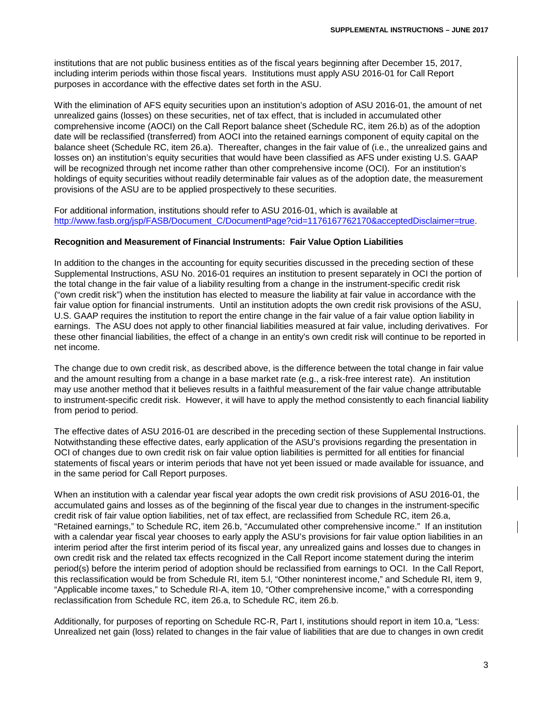institutions that are not public business entities as of the fiscal years beginning after December 15, 2017, including interim periods within those fiscal years. Institutions must apply ASU 2016-01 for Call Report purposes in accordance with the effective dates set forth in the ASU.

With the elimination of AFS equity securities upon an institution's adoption of ASU 2016-01, the amount of net unrealized gains (losses) on these securities, net of tax effect, that is included in accumulated other comprehensive income (AOCI) on the Call Report balance sheet (Schedule RC, item 26.b) as of the adoption date will be reclassified (transferred) from AOCI into the retained earnings component of equity capital on the balance sheet (Schedule RC, item 26.a). Thereafter, changes in the fair value of (i.e., the unrealized gains and losses on) an institution's equity securities that would have been classified as AFS under existing U.S. GAAP will be recognized through net income rather than other comprehensive income (OCI). For an institution's holdings of equity securities without readily determinable fair values as of the adoption date, the measurement provisions of the ASU are to be applied prospectively to these securities.

For additional information, institutions should refer to ASU 2016-01, which is available at [http://www.fasb.org/jsp/FASB/Document\\_C/DocumentPage?cid=1176167762170&acceptedDisclaimer=true.](http://www.fasb.org/jsp/FASB/Document_C/DocumentPage?cid=1176167762170&acceptedDisclaimer=true)

## **Recognition and Measurement of Financial Instruments: Fair Value Option Liabilities**

In addition to the changes in the accounting for equity securities discussed in the preceding section of these Supplemental Instructions, ASU No. 2016-01 requires an institution to present separately in OCI the portion of the total change in the fair value of a liability resulting from a change in the instrument-specific credit risk ("own credit risk") when the institution has elected to measure the liability at fair value in accordance with the fair value option for financial instruments. Until an institution adopts the own credit risk provisions of the ASU, U.S. GAAP requires the institution to report the entire change in the fair value of a fair value option liability in earnings. The ASU does not apply to other financial liabilities measured at fair value, including derivatives. For these other financial liabilities, the effect of a change in an entity's own credit risk will continue to be reported in net income.

The change due to own credit risk, as described above, is the difference between the total change in fair value and the amount resulting from a change in a base market rate (e.g., a risk-free interest rate). An institution may use another method that it believes results in a faithful measurement of the fair value change attributable to instrument-specific credit risk. However, it will have to apply the method consistently to each financial liability from period to period.

The effective dates of ASU 2016-01 are described in the preceding section of these Supplemental Instructions. Notwithstanding these effective dates, early application of the ASU's provisions regarding the presentation in OCI of changes due to own credit risk on fair value option liabilities is permitted for all entities for financial statements of fiscal years or interim periods that have not yet been issued or made available for issuance, and in the same period for Call Report purposes.

When an institution with a calendar year fiscal year adopts the own credit risk provisions of ASU 2016-01, the accumulated gains and losses as of the beginning of the fiscal year due to changes in the instrument-specific credit risk of fair value option liabilities, net of tax effect, are reclassified from Schedule RC, item 26.a, "Retained earnings," to Schedule RC, item 26.b, "Accumulated other comprehensive income." If an institution with a calendar year fiscal year chooses to early apply the ASU's provisions for fair value option liabilities in an interim period after the first interim period of its fiscal year, any unrealized gains and losses due to changes in own credit risk and the related tax effects recognized in the Call Report income statement during the interim period(s) before the interim period of adoption should be reclassified from earnings to OCI. In the Call Report, this reclassification would be from Schedule RI, item 5.l, "Other noninterest income," and Schedule RI, item 9, "Applicable income taxes," to Schedule RI-A, item 10, "Other comprehensive income," with a corresponding reclassification from Schedule RC, item 26.a, to Schedule RC, item 26.b.

Additionally, for purposes of reporting on Schedule RC-R, Part I, institutions should report in item 10.a, "Less: Unrealized net gain (loss) related to changes in the fair value of liabilities that are due to changes in own credit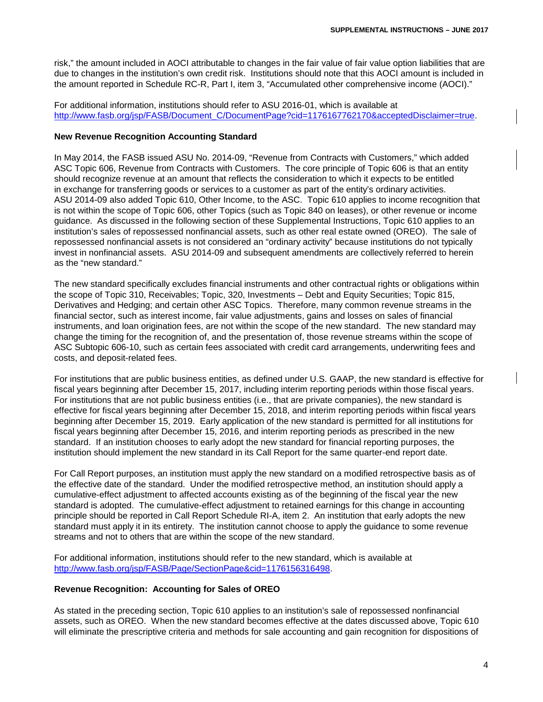risk," the amount included in AOCI attributable to changes in the fair value of fair value option liabilities that are due to changes in the institution's own credit risk. Institutions should note that this AOCI amount is included in the amount reported in Schedule RC-R, Part I, item 3, "Accumulated other comprehensive income (AOCI)."

For additional information, institutions should refer to ASU 2016-01, which is available at [http://www.fasb.org/jsp/FASB/Document\\_C/DocumentPage?cid=1176167762170&acceptedDisclaimer=true.](http://www.fasb.org/jsp/FASB/Document_C/DocumentPage?cid=1176167762170&acceptedDisclaimer=true)

# **New Revenue Recognition Accounting Standard**

In May 2014, the FASB issued ASU No. 2014-09, "Revenue from Contracts with Customers," which added ASC Topic 606, Revenue from Contracts with Customers. The core principle of Topic 606 is that an entity should recognize revenue at an amount that reflects the consideration to which it expects to be entitled in exchange for transferring goods or services to a customer as part of the entity's ordinary activities. ASU 2014-09 also added Topic 610, Other Income, to the ASC. Topic 610 applies to income recognition that is not within the scope of Topic 606, other Topics (such as Topic 840 on leases), or other revenue or income guidance. As discussed in the following section of these Supplemental Instructions, Topic 610 applies to an institution's sales of repossessed nonfinancial assets, such as other real estate owned (OREO). The sale of repossessed nonfinancial assets is not considered an "ordinary activity" because institutions do not typically invest in nonfinancial assets. ASU 2014-09 and subsequent amendments are collectively referred to herein as the "new standard."

The new standard specifically excludes financial instruments and other contractual rights or obligations within the scope of Topic 310, Receivables; Topic, 320, Investments – Debt and Equity Securities; Topic 815, Derivatives and Hedging; and certain other ASC Topics. Therefore, many common revenue streams in the financial sector, such as interest income, fair value adjustments, gains and losses on sales of financial instruments, and loan origination fees, are not within the scope of the new standard. The new standard may change the timing for the recognition of, and the presentation of, those revenue streams within the scope of ASC Subtopic 606-10, such as certain fees associated with credit card arrangements, underwriting fees and costs, and deposit-related fees.

For institutions that are public business entities, as defined under U.S. GAAP, the new standard is effective for fiscal years beginning after December 15, 2017, including interim reporting periods within those fiscal years. For institutions that are not public business entities (i.e., that are private companies), the new standard is effective for fiscal years beginning after December 15, 2018, and interim reporting periods within fiscal years beginning after December 15, 2019. Early application of the new standard is permitted for all institutions for fiscal years beginning after December 15, 2016, and interim reporting periods as prescribed in the new standard. If an institution chooses to early adopt the new standard for financial reporting purposes, the institution should implement the new standard in its Call Report for the same quarter-end report date.

For Call Report purposes, an institution must apply the new standard on a modified retrospective basis as of the effective date of the standard. Under the modified retrospective method, an institution should apply a cumulative-effect adjustment to affected accounts existing as of the beginning of the fiscal year the new standard is adopted. The cumulative-effect adjustment to retained earnings for this change in accounting principle should be reported in Call Report Schedule RI-A, item 2. An institution that early adopts the new standard must apply it in its entirety. The institution cannot choose to apply the guidance to some revenue streams and not to others that are within the scope of the new standard.

For additional information, institutions should refer to the new standard, which is available at [http://www.fasb.org/jsp/FASB/Page/SectionPage&cid=1176156316498.](http://www.fasb.org/jsp/FASB/Page/SectionPage&cid=1176156316498)

#### **Revenue Recognition: Accounting for Sales of OREO**

As stated in the preceding section, Topic 610 applies to an institution's sale of repossessed nonfinancial assets, such as OREO. When the new standard becomes effective at the dates discussed above, Topic 610 will eliminate the prescriptive criteria and methods for sale accounting and gain recognition for dispositions of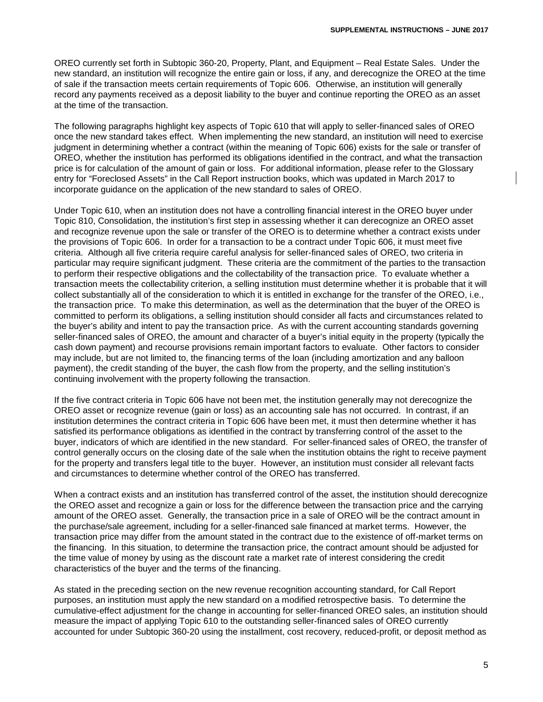OREO currently set forth in Subtopic 360-20, Property, Plant, and Equipment – Real Estate Sales. Under the new standard, an institution will recognize the entire gain or loss, if any, and derecognize the OREO at the time of sale if the transaction meets certain requirements of Topic 606. Otherwise, an institution will generally record any payments received as a deposit liability to the buyer and continue reporting the OREO as an asset at the time of the transaction.

The following paragraphs highlight key aspects of Topic 610 that will apply to seller-financed sales of OREO once the new standard takes effect. When implementing the new standard, an institution will need to exercise judgment in determining whether a contract (within the meaning of Topic 606) exists for the sale or transfer of OREO, whether the institution has performed its obligations identified in the contract, and what the transaction price is for calculation of the amount of gain or loss. For additional information, please refer to the Glossary entry for "Foreclosed Assets" in the Call Report instruction books, which was updated in March 2017 to incorporate guidance on the application of the new standard to sales of OREO.

Under Topic 610, when an institution does not have a controlling financial interest in the OREO buyer under Topic 810, Consolidation, the institution's first step in assessing whether it can derecognize an OREO asset and recognize revenue upon the sale or transfer of the OREO is to determine whether a contract exists under the provisions of Topic 606. In order for a transaction to be a contract under Topic 606, it must meet five criteria. Although all five criteria require careful analysis for seller-financed sales of OREO, two criteria in particular may require significant judgment. These criteria are the commitment of the parties to the transaction to perform their respective obligations and the collectability of the transaction price. To evaluate whether a transaction meets the collectability criterion, a selling institution must determine whether it is probable that it will collect substantially all of the consideration to which it is entitled in exchange for the transfer of the OREO, i.e., the transaction price. To make this determination, as well as the determination that the buyer of the OREO is committed to perform its obligations, a selling institution should consider all facts and circumstances related to the buyer's ability and intent to pay the transaction price. As with the current accounting standards governing seller-financed sales of OREO, the amount and character of a buyer's initial equity in the property (typically the cash down payment) and recourse provisions remain important factors to evaluate. Other factors to consider may include, but are not limited to, the financing terms of the loan (including amortization and any balloon payment), the credit standing of the buyer, the cash flow from the property, and the selling institution's continuing involvement with the property following the transaction.

If the five contract criteria in Topic 606 have not been met, the institution generally may not derecognize the OREO asset or recognize revenue (gain or loss) as an accounting sale has not occurred. In contrast, if an institution determines the contract criteria in Topic 606 have been met, it must then determine whether it has satisfied its performance obligations as identified in the contract by transferring control of the asset to the buyer, indicators of which are identified in the new standard. For seller-financed sales of OREO, the transfer of control generally occurs on the closing date of the sale when the institution obtains the right to receive payment for the property and transfers legal title to the buyer. However, an institution must consider all relevant facts and circumstances to determine whether control of the OREO has transferred.

When a contract exists and an institution has transferred control of the asset, the institution should derecognize the OREO asset and recognize a gain or loss for the difference between the transaction price and the carrying amount of the OREO asset. Generally, the transaction price in a sale of OREO will be the contract amount in the purchase/sale agreement, including for a seller-financed sale financed at market terms. However, the transaction price may differ from the amount stated in the contract due to the existence of off-market terms on the financing. In this situation, to determine the transaction price, the contract amount should be adjusted for the time value of money by using as the discount rate a market rate of interest considering the credit characteristics of the buyer and the terms of the financing.

As stated in the preceding section on the new revenue recognition accounting standard, for Call Report purposes, an institution must apply the new standard on a modified retrospective basis. To determine the cumulative-effect adjustment for the change in accounting for seller-financed OREO sales, an institution should measure the impact of applying Topic 610 to the outstanding seller-financed sales of OREO currently accounted for under Subtopic 360-20 using the installment, cost recovery, reduced-profit, or deposit method as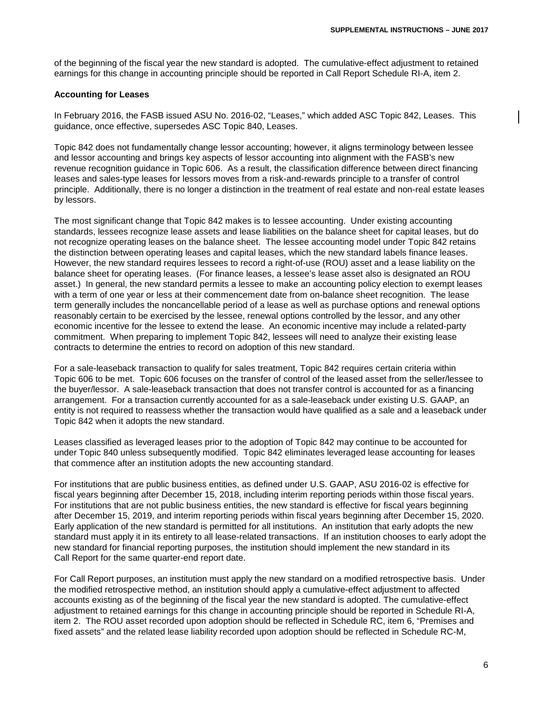of the beginning of the fiscal year the new standard is adopted. The cumulative-effect adjustment to retained earnings for this change in accounting principle should be reported in Call Report Schedule RI-A, item 2.

## **Accounting for Leases**

In February 2016, the FASB issued ASU No. 2016-02, "Leases," which added ASC Topic 842, Leases. This guidance, once effective, supersedes ASC Topic 840, Leases.

Topic 842 does not fundamentally change lessor accounting; however, it aligns terminology between lessee and lessor accounting and brings key aspects of lessor accounting into alignment with the FASB's new revenue recognition guidance in Topic 606. As a result, the classification difference between direct financing leases and sales-type leases for lessors moves from a risk-and-rewards principle to a transfer of control principle. Additionally, there is no longer a distinction in the treatment of real estate and non-real estate leases by lessors.

The most significant change that Topic 842 makes is to lessee accounting. Under existing accounting standards, lessees recognize lease assets and lease liabilities on the balance sheet for capital leases, but do not recognize operating leases on the balance sheet. The lessee accounting model under Topic 842 retains the distinction between operating leases and capital leases, which the new standard labels finance leases. However, the new standard requires lessees to record a right-of-use (ROU) asset and a lease liability on the balance sheet for operating leases. (For finance leases, a lessee's lease asset also is designated an ROU asset.) In general, the new standard permits a lessee to make an accounting policy election to exempt leases with a term of one year or less at their commencement date from on-balance sheet recognition. The lease term generally includes the noncancellable period of a lease as well as purchase options and renewal options reasonably certain to be exercised by the lessee, renewal options controlled by the lessor, and any other economic incentive for the lessee to extend the lease. An economic incentive may include a related-party commitment. When preparing to implement Topic 842, lessees will need to analyze their existing lease contracts to determine the entries to record on adoption of this new standard.

For a sale-leaseback transaction to qualify for sales treatment, Topic 842 requires certain criteria within Topic 606 to be met. Topic 606 focuses on the transfer of control of the leased asset from the seller/lessee to the buyer/lessor. A sale-leaseback transaction that does not transfer control is accounted for as a financing arrangement. For a transaction currently accounted for as a sale-leaseback under existing U.S. GAAP, an entity is not required to reassess whether the transaction would have qualified as a sale and a leaseback under Topic 842 when it adopts the new standard.

Leases classified as leveraged leases prior to the adoption of Topic 842 may continue to be accounted for under Topic 840 unless subsequently modified. Topic 842 eliminates leveraged lease accounting for leases that commence after an institution adopts the new accounting standard.

For institutions that are public business entities, as defined under U.S. GAAP, ASU 2016-02 is effective for fiscal years beginning after December 15, 2018, including interim reporting periods within those fiscal years. For institutions that are not public business entities, the new standard is effective for fiscal years beginning after December 15, 2019, and interim reporting periods within fiscal years beginning after December 15, 2020. Early application of the new standard is permitted for all institutions. An institution that early adopts the new standard must apply it in its entirety to all lease-related transactions. If an institution chooses to early adopt the new standard for financial reporting purposes, the institution should implement the new standard in its Call Report for the same quarter-end report date.

For Call Report purposes, an institution must apply the new standard on a modified retrospective basis. Under the modified retrospective method, an institution should apply a cumulative-effect adjustment to affected accounts existing as of the beginning of the fiscal year the new standard is adopted. The cumulative-effect adjustment to retained earnings for this change in accounting principle should be reported in Schedule RI-A, item 2. The ROU asset recorded upon adoption should be reflected in Schedule RC, item 6, "Premises and fixed assets" and the related lease liability recorded upon adoption should be reflected in Schedule RC-M,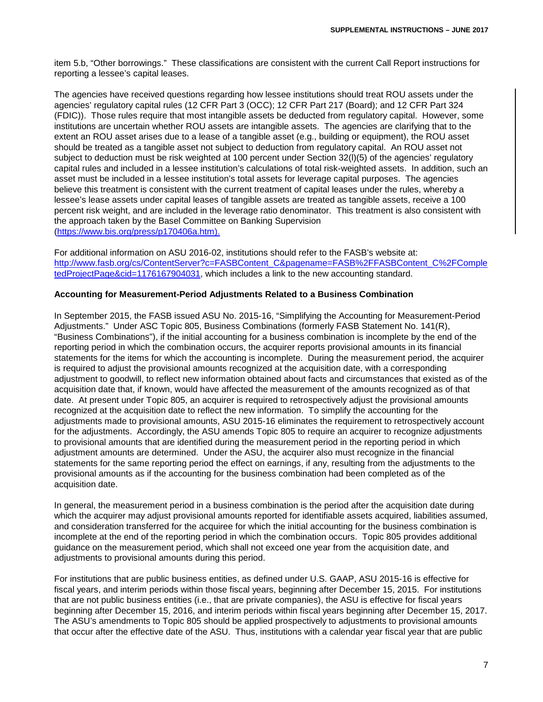item 5.b, "Other borrowings." These classifications are consistent with the current Call Report instructions for reporting a lessee's capital leases.

The agencies have received questions regarding how lessee institutions should treat ROU assets under the agencies' regulatory capital rules (12 CFR Part 3 (OCC); 12 CFR Part 217 (Board); and 12 CFR Part 324 (FDIC)). Those rules require that most intangible assets be deducted from regulatory capital. However, some institutions are uncertain whether ROU assets are intangible assets. The agencies are clarifying that to the extent an ROU asset arises due to a lease of a tangible asset (e.g., building or equipment), the ROU asset should be treated as a tangible asset not subject to deduction from regulatory capital. An ROU asset not subject to deduction must be risk weighted at 100 percent under Section 32(l)(5) of the agencies' regulatory capital rules and included in a lessee institution's calculations of total risk-weighted assets. In addition, such an asset must be included in a lessee institution's total assets for leverage capital purposes. The agencies believe this treatment is consistent with the current treatment of capital leases under the rules, whereby a lessee's lease assets under capital leases of tangible assets are treated as tangible assets, receive a 100 percent risk weight, and are included in the leverage ratio denominator. This treatment is also consistent with the approach taken by the Basel Committee on Banking Supervision [\(https://www.bis.org/press/p170406a.htm\)](https://www.bis.org/press/p170406a.htm).

For additional information on ASU 2016-02, institutions should refer to the FASB's website at: [http://www.fasb.org/cs/ContentServer?c=FASBContent\\_C&pagename=FASB%2FFASBContent\\_C%2FComple](http://www.fasb.org/cs/ContentServer?c=FASBContent_C&pagename=FASB%2FFASBContent_C%2FCompletedProjectPage&cid=1176167904031) [tedProjectPage&cid=1176167904031,](http://www.fasb.org/cs/ContentServer?c=FASBContent_C&pagename=FASB%2FFASBContent_C%2FCompletedProjectPage&cid=1176167904031) which includes a link to the new accounting standard.

# **Accounting for Measurement-Period Adjustments Related to a Business Combination**

In September 2015, the FASB issued ASU No. 2015-16, "Simplifying the Accounting for Measurement-Period Adjustments." Under ASC Topic 805, Business Combinations (formerly FASB Statement No. 141(R), "Business Combinations"), if the initial accounting for a business combination is incomplete by the end of the reporting period in which the combination occurs, the acquirer reports provisional amounts in its financial statements for the items for which the accounting is incomplete. During the measurement period, the acquirer is required to adjust the provisional amounts recognized at the acquisition date, with a corresponding adjustment to goodwill, to reflect new information obtained about facts and circumstances that existed as of the acquisition date that, if known, would have affected the measurement of the amounts recognized as of that date. At present under Topic 805, an acquirer is required to retrospectively adjust the provisional amounts recognized at the acquisition date to reflect the new information. To simplify the accounting for the adjustments made to provisional amounts, ASU 2015-16 eliminates the requirement to retrospectively account for the adjustments. Accordingly, the ASU amends Topic 805 to require an acquirer to recognize adjustments to provisional amounts that are identified during the measurement period in the reporting period in which adjustment amounts are determined. Under the ASU, the acquirer also must recognize in the financial statements for the same reporting period the effect on earnings, if any, resulting from the adjustments to the provisional amounts as if the accounting for the business combination had been completed as of the acquisition date.

In general, the measurement period in a business combination is the period after the acquisition date during which the acquirer may adjust provisional amounts reported for identifiable assets acquired, liabilities assumed, and consideration transferred for the acquiree for which the initial accounting for the business combination is incomplete at the end of the reporting period in which the combination occurs. Topic 805 provides additional guidance on the measurement period, which shall not exceed one year from the acquisition date, and adjustments to provisional amounts during this period.

For institutions that are public business entities, as defined under U.S. GAAP, ASU 2015-16 is effective for fiscal years, and interim periods within those fiscal years, beginning after December 15, 2015. For institutions that are not public business entities (i.e., that are private companies), the ASU is effective for fiscal years beginning after December 15, 2016, and interim periods within fiscal years beginning after December 15, 2017. The ASU's amendments to Topic 805 should be applied prospectively to adjustments to provisional amounts that occur after the effective date of the ASU. Thus, institutions with a calendar year fiscal year that are public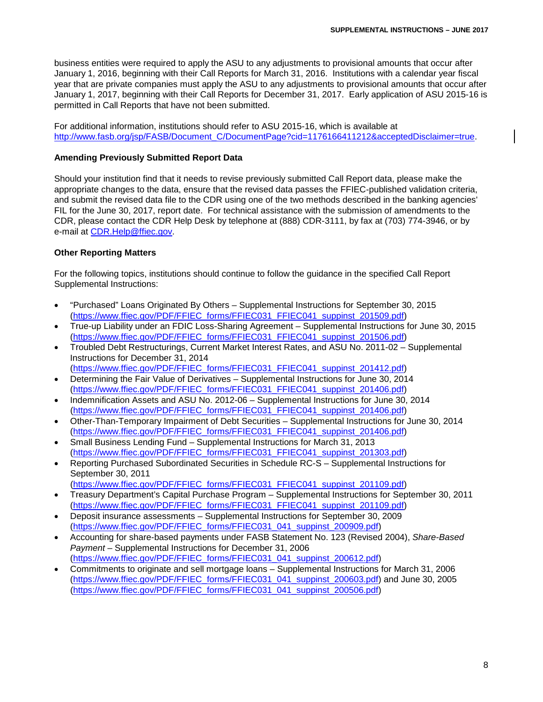business entities were required to apply the ASU to any adjustments to provisional amounts that occur after January 1, 2016, beginning with their Call Reports for March 31, 2016. Institutions with a calendar year fiscal year that are private companies must apply the ASU to any adjustments to provisional amounts that occur after January 1, 2017, beginning with their Call Reports for December 31, 2017. Early application of ASU 2015-16 is permitted in Call Reports that have not been submitted.

For additional information, institutions should refer to ASU 2015-16, which is available at [http://www.fasb.org/jsp/FASB/Document\\_C/DocumentPage?cid=1176166411212&acceptedDisclaimer=true.](http://www.fasb.org/jsp/FASB/Document_C/DocumentPage?cid=1176166411212&acceptedDisclaimer=true)

## **Amending Previously Submitted Report Data**

Should your institution find that it needs to revise previously submitted Call Report data, please make the appropriate changes to the data, ensure that the revised data passes the FFIEC-published validation criteria, and submit the revised data file to the CDR using one of the two methods described in the banking agencies' FIL for the June 30, 2017, report date. For technical assistance with the submission of amendments to the CDR, please contact the CDR Help Desk by telephone at (888) CDR-3111, by fax at (703) 774-3946, or by e-mail at [CDR.Help@ffiec.gov.](mailto:CDR.Help@ffiec.gov)

## **Other Reporting Matters**

For the following topics, institutions should continue to follow the guidance in the specified Call Report Supplemental Instructions:

- "Purchased" Loans Originated By Others Supplemental Instructions for September 30, 2015 [\(https://www.ffiec.gov/PDF/FFIEC\\_forms/FFIEC031\\_FFIEC041\\_suppinst\\_201509.pdf\)](https://www.ffiec.gov/PDF/FFIEC_forms/FFIEC031_FFIEC041_suppinst_201509.pdf)
- True-up Liability under an FDIC Loss-Sharing Agreement Supplemental Instructions for June 30, 2015 [\(https://www.ffiec.gov/PDF/FFIEC\\_forms/FFIEC031\\_FFIEC041\\_suppinst\\_201506.pdf\)](https://www.ffiec.gov/PDF/FFIEC_forms/FFIEC031_FFIEC041_suppinst_201506.pdf)
- Troubled Debt Restructurings, Current Market Interest Rates, and ASU No. 2011-02 Supplemental Instructions for December 31, 2014 [\(https://www.ffiec.gov/PDF/FFIEC\\_forms/FFIEC031\\_FFIEC041\\_suppinst\\_201412.pdf\)](https://www.ffiec.gov/PDF/FFIEC_forms/FFIEC031_FFIEC041_suppinst_201412.pdf)
- Determining the Fair Value of Derivatives Supplemental Instructions for June 30, 2014 [\(https://www.ffiec.gov/PDF/FFIEC\\_forms/FFIEC031\\_FFIEC041\\_suppinst\\_201406.pdf\)](https://www.ffiec.gov/PDF/FFIEC_forms/FFIEC031_FFIEC041_suppinst_201406.pdf)
- Indemnification Assets and ASU No. 2012-06 Supplemental Instructions for June 30, 2014 [\(https://www.ffiec.gov/PDF/FFIEC\\_forms/FFIEC031\\_FFIEC041\\_suppinst\\_201406.pdf\)](https://www.ffiec.gov/PDF/FFIEC_forms/FFIEC031_FFIEC041_suppinst_201406.pdf)
- Other-Than-Temporary Impairment of Debt Securities Supplemental Instructions for June 30, 2014 [\(https://www.ffiec.gov/PDF/FFIEC\\_forms/FFIEC031\\_FFIEC041\\_suppinst\\_201406.pdf\)](https://www.ffiec.gov/PDF/FFIEC_forms/FFIEC031_FFIEC041_suppinst_201406.pdf)
- Small Business Lending Fund Supplemental Instructions for March 31, 2013 [\(https://www.ffiec.gov/PDF/FFIEC\\_forms/FFIEC031\\_FFIEC041\\_suppinst\\_201303.pdf\)](https://www.ffiec.gov/PDF/FFIEC_forms/FFIEC031_FFIEC041_suppinst_201303.pdf)
- Reporting Purchased Subordinated Securities in Schedule RC-S Supplemental Instructions for September 30, 2011
	- [\(https://www.ffiec.gov/PDF/FFIEC\\_forms/FFIEC031\\_FFIEC041\\_suppinst\\_201109.pdf\)](https://www.ffiec.gov/PDF/FFIEC_forms/FFIEC031_FFIEC041_suppinst_201109.pdf)
- Treasury Department's Capital Purchase Program Supplemental Instructions for September 30, 2011 [\(https://www.ffiec.gov/PDF/FFIEC\\_forms/FFIEC031\\_FFIEC041\\_suppinst\\_201109.pdf\)](https://www.ffiec.gov/PDF/FFIEC_forms/FFIEC031_FFIEC041_suppinst_201109.pdf)
- Deposit insurance assessments Supplemental Instructions for September 30, 2009 [\(https://www.ffiec.gov/PDF/FFIEC\\_forms/FFIEC031\\_041\\_suppinst\\_200909.pdf\)](https://www.ffiec.gov/PDF/FFIEC_forms/FFIEC031_041_suppinst_200909.pdf)
- Accounting for share-based payments under FASB Statement No. 123 (Revised 2004), *Share-Based Payment* – Supplemental Instructions for December 31, 2006 [\(https://www.ffiec.gov/PDF/FFIEC\\_forms/FFIEC031\\_041\\_suppinst\\_200612.pdf\)](https://www.ffiec.gov/PDF/FFIEC_forms/FFIEC031_041_suppinst_200612.pdf)
- Commitments to originate and sell mortgage loans Supplemental Instructions for March 31, 2006 [\(https://www.ffiec.gov/PDF/FFIEC\\_forms/FFIEC031\\_041\\_suppinst\\_200603.pdf\)](https://www.ffiec.gov/PDF/FFIEC_forms/FFIEC031_041_suppinst_200603.pdf) and June 30, 2005 [\(https://www.ffiec.gov/PDF/FFIEC\\_forms/FFIEC031\\_041\\_suppinst\\_200506.pdf\)](https://www.ffiec.gov/PDF/FFIEC_forms/FFIEC031_041_suppinst_200506.pdf)